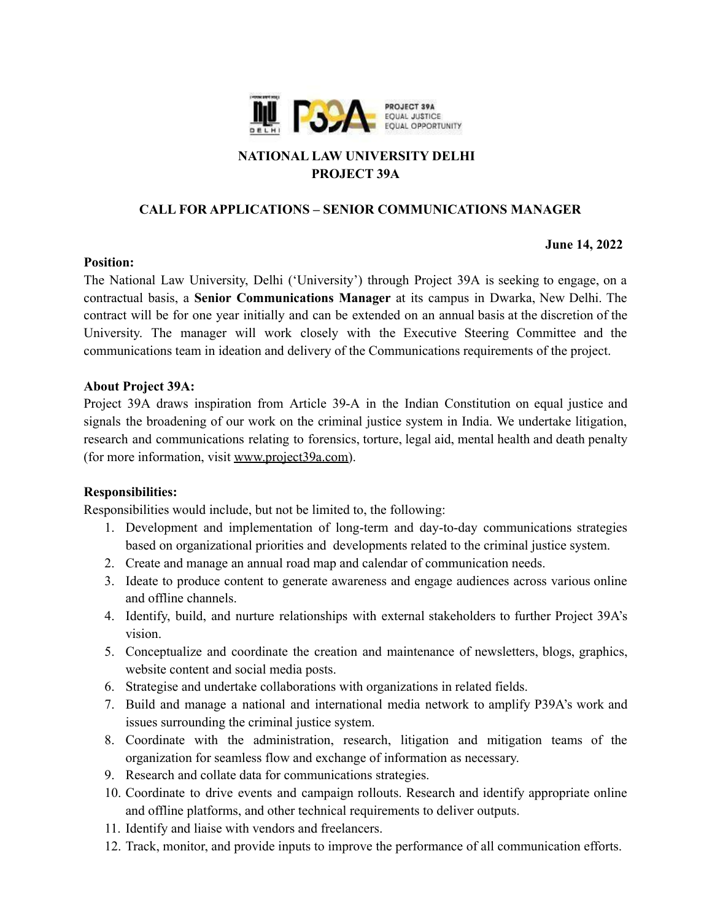

# **NATIONAL LAW UNIVERSITY DELHI PROJECT 39A**

## **CALL FOR APPLICATIONS – SENIOR COMMUNICATIONS MANAGER**

#### **June 14, 2022**

## **Position:**

The National Law University, Delhi ('University') through Project 39A is seeking to engage, on a contractual basis, a **Senior Communications Manager** at its campus in Dwarka, New Delhi. The contract will be for one year initially and can be extended on an annual basis at the discretion of the University. The manager will work closely with the Executive Steering Committee and the communications team in ideation and delivery of the Communications requirements of the project.

#### **About Project 39A:**

Project 39A draws inspiration from Article 39-A in the Indian Constitution on equal justice and signals the broadening of our work on the criminal justice system in India. We undertake litigation, research and communications relating to forensics, torture, legal aid, mental health and death penalty (for more information, visi[t](http://www.project39a.com/) [www.project39a.com\)](http://www.project39a.com).

## **Responsibilities:**

Responsibilities would include, but not be limited to, the following:

- 1. Development and implementation of long-term and day-to-day communications strategies based on organizational priorities and developments related to the criminal justice system.
- 2. Create and manage an annual road map and calendar of communication needs.
- 3. Ideate to produce content to generate awareness and engage audiences across various online and offline channels.
- 4. Identify, build, and nurture relationships with external stakeholders to further Project 39A's vision.
- 5. Conceptualize and coordinate the creation and maintenance of newsletters, blogs, graphics, website content and social media posts.
- 6. Strategise and undertake collaborations with organizations in related fields.
- 7. Build and manage a national and international media network to amplify P39A's work and issues surrounding the criminal justice system.
- 8. Coordinate with the administration, research, litigation and mitigation teams of the organization for seamless flow and exchange of information as necessary.
- 9. Research and collate data for communications strategies.
- 10. Coordinate to drive events and campaign rollouts. Research and identify appropriate online and offline platforms, and other technical requirements to deliver outputs.
- 11. Identify and liaise with vendors and freelancers.
- 12. Track, monitor, and provide inputs to improve the performance of all communication efforts.